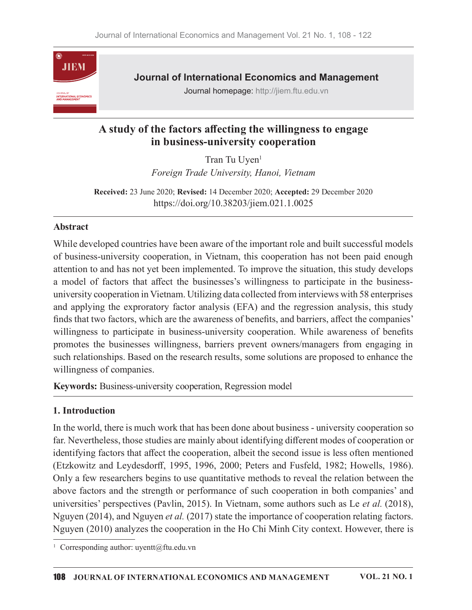

Journal of International Economics and Management

Journal homepage: http://jiem.ftu.edu.vn

## A study of the factors a൵ecting the willingness to engage in business-university cooperation

Tran Tu Uyen<sup>1</sup>  $1$  and  $1$  and  $1$  and  $1$  and  $1$  and  $1$  and  $1$  and  $1$  and  $1$  and  $1$  and  $1$  and  $1$  and  $1$  and  $1$  and  $1$  and  $1$  and  $1$  and  $1$  and  $1$  and  $1$  and  $1$  and  $1$  and  $1$  and  $1$  and  $1$  and  $1$  and  $1$  and  $1$  a Foreign Trade University, Hanoi, Vietnam

Received: 23 June 2020; Revised: 14 December 2020; Accepted: 29 December 2020 https://doi.org/10.38203/jiem.021.1.0025

### Abstract

While developed countries have been aware of the important role and built successful models of business-university cooperation, in Vietnam, this cooperation has not been paid enough attention to and has not yet been implemented. To improve the situation, this study develops a model of factors that affect the businesses's willingness to participate in the businessuniversity cooperation in Vietnam. Utilizing data collected from interviews with 58 enterprises and applying the exproratory factor analysis (EFA) and the regression analysis, this study finds that two factors, which are the awareness of benefits, and barriers, affect the companies' willingness to participate in business-university cooperation. While awareness of benefits promotes the businesses willingness, barriers prevent owners/managers from engaging in such relationships. Based on the research results, some solutions are proposed to enhance the willingness of companies.

Keywords: Business-university cooperation, Regression model

## 1. Introduction

In theworld, there is much work that has been done about business - university cooperation so far. Nevertheless, those studies are mainly about identifying different modes of cooperation or identifying factors that affect the cooperation, albeit the second issue is less often mentioned (Etzkowitz and Leydesdorff, 1995, 1996, 2000; Peters and Fusfeld, 1982; Howells, 1986). Only a few researchers begins to use quantitative methods to reveal the relation between the above factors and the strength or performance of such cooperation in both companies' and universities' perspectives (Pavlin, 2015). In Vietnam, some authors such as Le et al. (2018), Nguyen (2014), and Nguyen *et al.* (2017) state the importance of cooperation relating factors. Nguyen (2010) analyzes the cooperation in the Ho Chi Minh City context. However, there is

<sup>&</sup>lt;sup>1</sup> Corresponding author: uyentt@ftu.edu.vn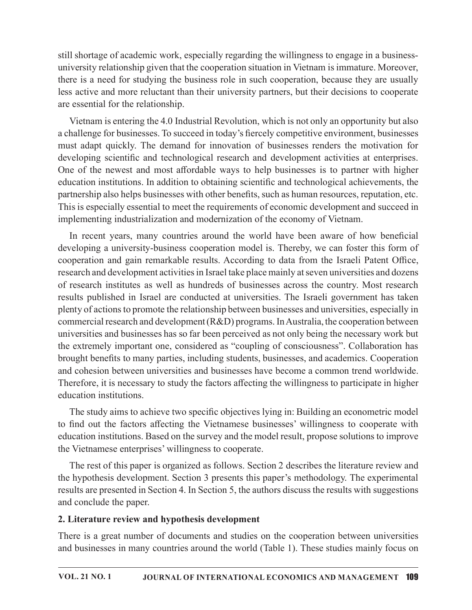still shortage of academic work, especially regarding the willingness to engage in a businessuniversity relationship given that the cooperation situation in Vietnam is immature. Moreover, there is a need for studying the business role in such cooperation, because they are usually less active and more reluctant than their university partners, but their decisions to cooperate are essential for the relationship.

Vietnam is entering the 4.0 Industrial Revolution, which is not only an opportunity but also a challenge for businesses. To succeed in today's fiercely competitive environment, businesses still shortage of academic work, especially regarding the willingness to engage in a business-<br>university relationship given that the cooperation situation in Vietnam is immature. Moreover,<br>there is a need for studying the developing scientific and technological research and development activities at enterprises. One of the newest and most affordable ways to help businesses is to partner with higher education institutions. In addition to obtaining scientific and technological achievements, the partnership also helps businesses with other benefits, such as human resources, reputation, etc. This is especially essential to meet the requirements of economic development and succeed in implementing industrialization and modernization of the economy of Vietnam.

In recent years, many countries around the world have been aware of how beneficial developing a university-business cooperation model is. Thereby, we can foster this form of cooperation and gain remarkable results. According to data from the Israeli Patent Office, research and development activities in Israel take place mainly at seven universities and dozens Exameter wand move tendent reading the method and the step and the comparison of the constrained in the care assemble of businesses. To succeed in today's fiercely competitive environment, businesses a challenge for busine Uteram is in erleationsing.<br>
We deallenge for businesses. To succeed in today's fiercely competitive environment, businesses<br>
must adapt quickly. The demand for innovation of businesses renders the motivation for<br>
developi plenty of actionsto promote the relationship between businesses and universities, especially in commercial research and development  $(R&D)$  programs. In Australia, the cooperation between universities and businesses has so far been perceived as not only being the necessary work but the extremely important one, considered as "coupling of consciousness". Collaboration has brought benefits to many parties, including students, businesses, and academics. Cooperation and cohesion between universities and businesses have become a common trend worldwide. Therefore, it is necessary to study the factors affecting the willingness to participate in higher education institutions. In recent years, many countries around the world have been aware of how beneficial<br>developing a university-business cooperation model is. Thereby, we can foster this form of<br>cooperation and gain remarkable results. Accordi

The study aims to achieve two specific objectives lying in: Building an econometric model education institutions. Based on the survey and the model result, propose solutions to improve the Vietnamese enterprises' willingness to cooperate.

The rest of this paper is organized as follows. Section 2 describes the literature review and the hypothesis development. Section 3 presents this paper's methodology. The experimental results are presented in Section 4. In Section 5, the authors discuss the results with suggestions and conclude the paper.

## 2. Literature review and hypothesis development

There is a great number of documents and studies on the cooperation between universities and businesses in many countries around the world (Table 1). These studies mainly focus on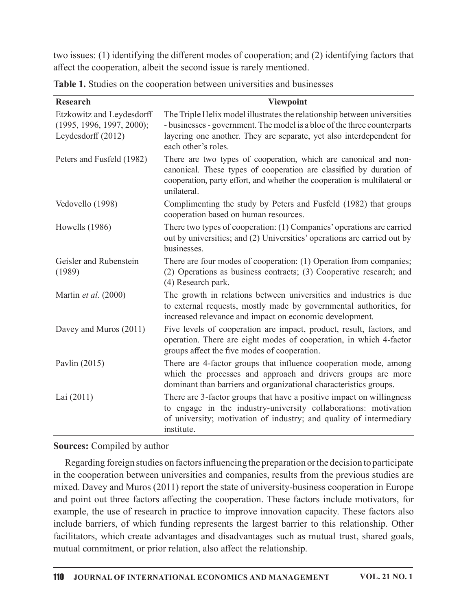|                                                                              | two issues: (1) identifying the different modes of cooperation; and (2) identifying factors that                                                                                                                                                    |
|------------------------------------------------------------------------------|-----------------------------------------------------------------------------------------------------------------------------------------------------------------------------------------------------------------------------------------------------|
|                                                                              | affect the cooperation, albeit the second issue is rarely mentioned.                                                                                                                                                                                |
|                                                                              | Table 1. Studies on the cooperation between universities and businesses                                                                                                                                                                             |
| <b>Research</b>                                                              | <b>Viewpoint</b>                                                                                                                                                                                                                                    |
| Etzkowitz and Leydesdorff<br>(1995, 1996, 1997, 2000);<br>Leydesdorff (2012) | The Triple Helix model illustrates the relationship between universities<br>- businesses - government. The model is a bloc of the three counterparts<br>layering one another. They are separate, yet also interdependent for<br>each other's roles. |
| Peters and Fusfeld (1982)                                                    | There are two types of cooperation, which are canonical and non-<br>canonical. These types of cooperation are classified by duration of<br>cooperation, party effort, and whether the cooperation is multilateral or<br>unilateral.                 |
| Vedovello (1998)                                                             | Complimenting the study by Peters and Fusfeld (1982) that groups<br>cooperation based on human resources.                                                                                                                                           |
| Howells $(1986)$                                                             | There two types of cooperation: (1) Companies' operations are carried<br>out by universities; and (2) Universities' operations are carried out by<br>businesses.                                                                                    |
| Geisler and Rubenstein<br>(1989)                                             | There are four modes of cooperation: (1) Operation from companies;<br>(2) Operations as business contracts; (3) Cooperative research; and<br>(4) Research park.                                                                                     |
| Martin et al. (2000)                                                         | The growth in relations between universities and industries is due<br>to external requests, mostly made by governmental authorities, for<br>increased relevance and impact on economic development.                                                 |
| Davey and Muros (2011)                                                       | Five levels of cooperation are impact, product, result, factors, and<br>operation. There are eight modes of cooperation, in which 4-factor<br>groups affect the five modes of cooperation.                                                          |
| Pavlin $(2015)$                                                              | There are 4-factor groups that influence cooperation mode, among<br>which the processes and approach and drivers groups are more<br>dominant than barriers and organizational characteristics groups.                                               |
| Lai $(2011)$                                                                 | There are 3-factor groups that have a positive impact on willingness<br>to engage in the industry-university collaborations: motivation<br>of university; motivation of industry; and quality of intermediary<br>institute.                         |

## Sources: Compiled by author

Regarding foreign studies on factors influencing the preparation or the decision to participate in the cooperation between universities and companies, results from the previous studies are mixed. Davey and Muros (2011) report the state of university-business cooperation in Europe and point out three factors affecting the cooperation. These factors include motivators, for example, the use of research in practice to improve innovation capacity. These factors also include barriers, of which funding represents the largest barrier to this relationship. Other facilitators, which create advantages and disadvantages such as mutual trust, shared goals, mutual commitment, or prior relation, also affect the relationship.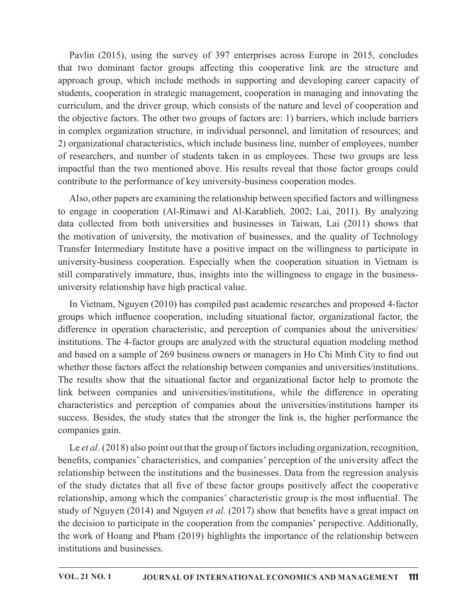Pavlin (2015), using the survey of 397 enterprises across Europe in 2015, concludes that two dominant factor groups affecting this cooperative link are the structure and approach group, which include methods in supporting and developing career capacity of students, cooperation in strategic management, cooperation in managing and innovating the curriculum, and the driver group, which consists of the nature and level of cooperation and the objective factors. The other two groups of factors are: 1) barriers, which include barriers in complex organization structure, in individual personnel, and limitation of resources; and 2) organizational characteristics, which include business line, number of employees, number of researchers, and number of students taken in as employees. These two groups are less impactful than the two mentioned above. His results reveal that those factor groups could contribute to the performance of key university-business cooperation modes. The motion of the charge of an entity of the methods in supportive link are the structure and approach group, which include methods in supporting and developing career capacity of students, cooperation in strategic managem They continuate the rigively and the driven is under the current with the competition, and the driver group, which consists of the nature and leveloping career capacity of students, cooperation in strategic management, coo

Also, other papers are examining the relationship between specified factors and willingness to engage in cooperation (Al-Rimawi and Al-Karablieh, 2002; Lai, 2011). By analyzing data collected from both universities and businesses in Taiwan, Lai (2011) shows that the motivation of university, the motivation of businesses, and the quality of Technology still comparatively immature, thus, insights into the willingness to engage in the businessuniversity relationship have high practical value.

In Vietnam, Nguyen (2010) has compiled past academic researches and proposed 4-factor groups which influence cooperation, including situational factor, organizational factor, the difference in operation characteristic, and perception of companies about the universities/ institutions. The 4-factor groups are analyzed with the structural equation modeling method and based on a sample of 269 business owners or managers in Ho Chi Minh City to find out whether those factors affect the relationship between companies and universities/institutions. Also, other papers are examining the relationship between specified factors and willingness<br>to engage in cooperation (Al-Rimawi and Al-Karablieh, 2002; Lai, 2011). By analyzing<br>data collected from both universities and bu link between companies and universities/institutions, while the difference in operating Fransfer Intermediary Institution at The measurement of the multimeral state of the motivation of universities and businesses, in Taiwan, Lai (2011) shows that the motivation of university, the motivation of businesses, a success. Besides, the study states that the stronger the link is, the higher performance the companies gain.

Le et al. (2018) also point out that the group of factors including organization, recognition, benefits, companies' characteristics, and companies' perception of the university affect the relationship between the institutions and the businesses. Data from the regression analysis of the study dictates that all five of these factor groups positively affect the cooperative relationship, among which the companies' characteristic group is the most influential. The study of Nguyen (2014) and Nguyen *et al.* (2017) show that benefits have a great impact on the decision to participate in the cooperation from the companies' perspective. Additionally, the work of Hoang and Pham (2019) highlights the importance of the relationship between institutions and businesses.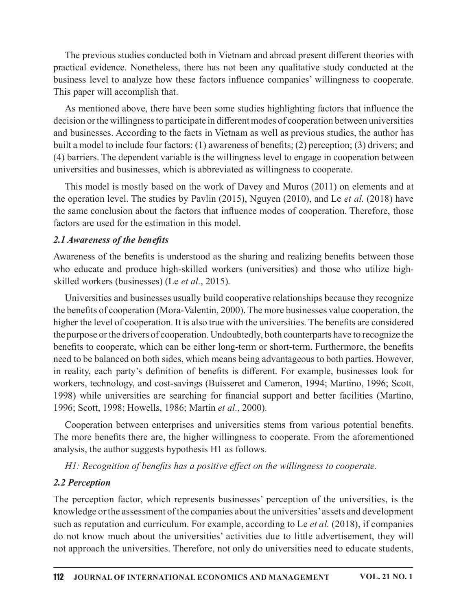The previous studies conducted both in Vietnam and abroad present different theories with practical evidence. Nonetheless, there has not been any qualitative study conducted at the business level to analyze how these factors influence companies' willingness to cooperate. This paper will accomplish that.

As mentioned above, there have been some studies highlighting factors that influence the decision or the willingness to participate in different modes of cooperation between universities and businesses. According to the facts in Vietnam as well as previous studies, the author has built a model to include four factors: (1) awareness of benefits; (2) perception; (3) drivers; and (4) barriers. The dependent variable is the willingness level to engage in cooperation between universities and businesses, which is abbreviated as willingness to cooperate.

This model is mostly based on the work of Davey and Muros (2011) on elements and at the operation level. The studies by Pavlin (2015), Nguyen (2010), and Le et al. (2018) have the same conclusion about the factors that influence modes of cooperation. Therefore, those factors are used for the estimation in this model.

### 2.1 Awareness of the benefits

Awareness of the benefits is understood as the sharing and realizing benefits between those who educate and produce high-skilled workers (universities) and those who utilize highskilled workers (businesses) (Le et al., 2015).

Universities and businesses usually build cooperative relationships because they recognize the benefits of cooperation (Mora-Valentin, 2000). The more businesses value cooperation, the higher the level of cooperation. It is also true with the universities. The benefits are considered the purpose or the drivers of cooperation. Undoubtedly, both counterparts have to recognize the benefits to cooperate, which can be either long-term or short-term. Furthermore, the benefits need to be balanced on both sides, which means being advantageous to both parties. However, in reality, each party's definition of benefits is different. For example, businesses look for workers, technology, and cost-savings (Buisseret and Cameron, 1994; Martino, 1996; Scott, 1998) while universities are searching for financial support and better facilities (Martino, 1996; Scott, 1998; Howells, 1986; Martin et al., 2000).

Cooperation between enterprises and universities stems from various potential benefits. The more benefits there are, the higher willingness to cooperate. From the aforementioned analysis, the author suggests hypothesis H1 as follows.

H1: Recognition of benefits has a positive effect on the willingness to cooperate.

## 2.2 Perception

The perception factor, which represents businesses' perception of the universities, is the knowledge or the assessment of the companies about the universities' assets and development such as reputation and curriculum. For example, according to Le et al. (2018), if companies do not know much about the universities' activities due to little advertisement, they will not approach the universities. Therefore, not only do universities need to educate students,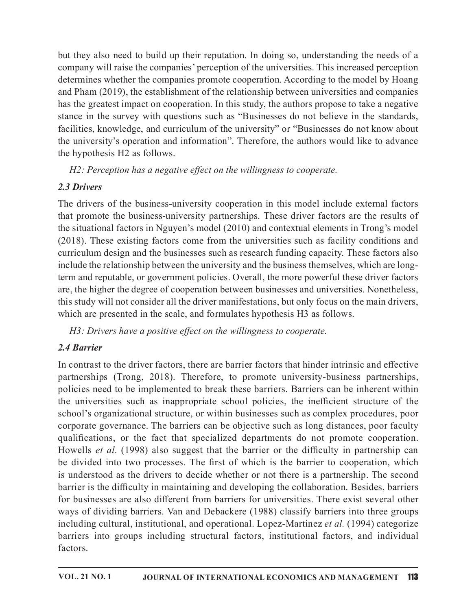but they also need to build up their reputation. In doing so, understanding the needs of a company will raise the companies' perception of the universities. This increased perception determines whether the companies promote cooperation. According to the model by Hoang and Pham (2019), the establishment of the relationship between universities and companies has the greatest impact on cooperation. In this study, the authors propose to take a negative stance in the survey with questions such as "Businesses do not believe in the standards, facilities, knowledge, and curriculum of the university" or "Businesses do not know about the university's operation and information". Therefore, the authors would like to advance the hypothesis  $H2$  as follows. but they also need to build up their reputation. In doing so, understanding the needs of a<br>company will raise the companies' perception of the universities. This increased perception<br>determines whether the companies promot but they also need to build up their reputation. In doing so, understanding the needs of a<br>company will raise the companies' precreption of the universities. This increased perception<br>determines whether the companies promo

H2: Perception has a negative effect on the willingness to cooperate.

## 2.3 Drivers

The drivers of the business-university cooperation in this model include external factors the situational factors in Nguyen's model (2010) and contextual elements in Trong's model curriculum design and the businesses such as research funding capacity. These factors also include the relationship between the university and the business themselves, which are longterm and reputable, or government policies. Overall, the more powerful these driver factors are, the higher the degree of cooperation between businesses and universities. Nonetheless, this study will not consider all the driver manifestations, but only focus on the main drivers, which are presented in the scale, and formulates hypothesis H3 as follows.

H3: Drivers have a positive effect on the willingness to cooperate.

# 2.4 Barrier

In contrast to the driver factors, there are barrier factors that hinder intrinsic and effective partnerships (Trong, 2018). Therefore, to promote university-business partnerships, policies need to be implemented to break these barriers. Barriers can be inherent within the universities such as inappropriate school policies, the inefficient structure of the school's organizational structure, or within businesses such as complex procedures, poor corporate governance. The barriers can be objective such as long distances, poor faculty qualifications, or the fact that specialized departments do not promote cooperation. Howells et al. (1998) also suggest that the barrier or the difficulty in partnership can term and reputable, or government policies. Overall, the more powerful these driver factors<br>are, the higher the degree of cooperation between businesses and universities. Nonetheless,<br>this study will not consider all the d is understood as the drivers to decide whether or not there is a partnership. The second barrier is the difficulty in maintaining and developing the collaboration. Besides, barriers for businesses are also different from barriers for universities. There exist several other ways of dividing barriers. Van and Debackere (1988) classify barriers into three groups including cultural, institutional, and operational. Lopez-Martinez et al. (1994) categorize barriers into groups including structural factors, institutional factors, and individual factors.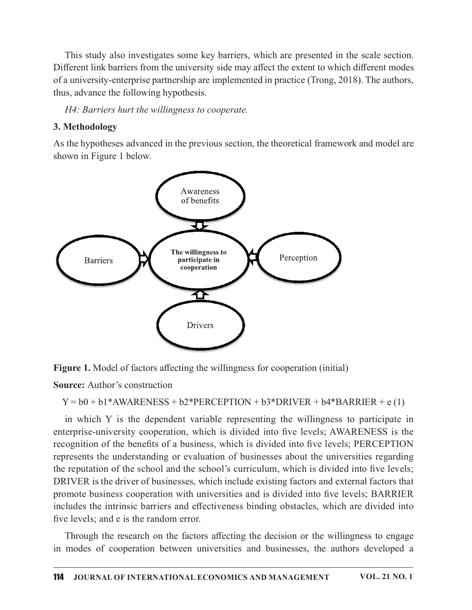This study also investigates some key barriers, which are presented in the scale section. Different link barriers from the university side may affect the extent to which different modes of a university-enterprise partnership are implemented in practice (Trong, 2018). The authors, thus, advance the following hypothesis.

H4: Barriers hurt the willingness to cooperate.

## 3. Methodology

As the hypotheses advanced in the previous section, the theoretical framework and model are shown in Figure 1 below.



Figure 1. Model of factors affecting the willingness for cooperation (initial)

**Source:** Author's construction

 $Y = b0 + b1*AWARENESS + b2*PERCEPTION + b3*DRIVER + b4*BARIER + e(1)$ 

in which Y is the dependent variable representing the willingness to participate in enterprise-university cooperation, which is divided into five levels; AWARENESS is the recognition of the benefits of a business, which is divided into five levels; PERCEPTION represents the understanding or evaluation of businesses about the universities regarding the reputation of the school and the school's curriculum, which is divided into five levels; DRIVER is the driver of businesses, which include existing factors and external factors that promote business cooperation with universities and is divided into five levels; BARRIER includes the intrinsic barriers and effectiveness binding obstacles, which are divided into five levels; and e is the random error.

Through the research on the factors affecting the decision or the willingness to engage in modes of cooperation between universities and businesses, the authors developed a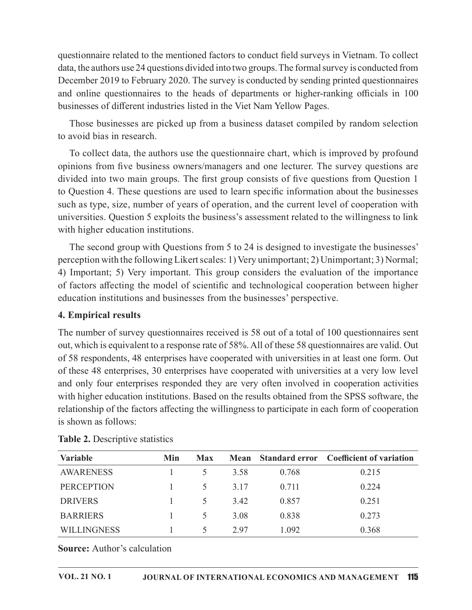questionnaire related to the mentioned factors to conduct field surveys in Vietnam. To collect data, the authors use 24 questions divided into two groups. The formal survey is conducted from December 2019 to February 2020. The survey is conducted by sending printed questionnaires and online questionnaires to the heads of departments or higher-ranking officials in 100 businesses of different industries listed in the Viet Nam Yellow Pages.

Those businesses are picked up from a business dataset compiled by random selection to avoid bias in research.

To collect data, the authors use the questionnaire chart, which is improved by profound opinions from five business owners/managers and one lecturer. The survey questions are divided into two main groups. The first group consists of five questions from Question 1 to Question 4. These questions are used to learn specific information about the businesses such as type, size, number of years of operation, and the current level of cooperation with universities. Question 5 exploits the business's assessment related to thewillingness to link with higher education institutions.

The second group with Questions from 5 to 24 is designed to investigate the businesses' perception with the following Likert scales: 1) Very unimportant; 2) Unimportant; 3) Normal; 4) Important; 5) Very important. This group considers the evaluation of the importance of factors affecting the model of scientific and technological cooperation between higher education institutions and businesses from the businesses' perspective.

### 4. Empirical results

The number of survey questionnaires received is 58 out of a total of 100 questionnaires sent out, which is equivalent to a response rate of 58%.All of these 58 questionnaires are valid. Out of 58 respondents, 48 enterprises have cooperated with universities in at least one form. Out of these 48 enterprises, 30 enterprises have cooperated with universities at a very low level and only four enterprises responded they are very often involved in cooperation activities with higher education institutions. Based on the results obtained from the SPSS software, the relationship of the factors affecting the willingness to participate in each form of cooperation is shown as follows: (a) Important; 5) Very important. This group considers the evaluation of the importance<br>of factors affecting the model of scientific and technological cooperation between higher<br>dedication institutions and businesses from of factors affecting the model of scientific and technological cooperation between higher<br>
education institutions and businesses from the businesses' perspective.<br> **1. Empirical results**<br> **1. Empirical results**<br>
the number Examples and businesses from the businesses' perspective.<br> **Empirical results**<br>
The number of survy questionnaires received is 58 out of a total of 100 questionnaires sent<br>
Dut but, which is equivalent to a response rate o **4. Empirical results**<br> **CEM** Empirical results<br>
The number of survey questionnaires received is 58 out of a total of 100 questionnaires sent<br>
but, which is equivalent to are<br>
posses rate of 58%. All of these 58 questionna The number of survey questionnaires received is 58 out of a total of 100 questionnaires sent<br>
out, which is equivalent to a response rate of 58%. All of these 58 questionnaires are valid. Out<br>
or 58 out, which is equivalent to a response rate of 58%. All of these 58 questionnaires are valid. Out<br>of 58 respondents, 48 enterprises have cooperated with universities in at least one form. Out<br>of these 48 enterprises 3.9 on

| <b>Variable</b>    | Min | <b>Max</b>               |      |       | Mean Standard error Coefficient of variation |
|--------------------|-----|--------------------------|------|-------|----------------------------------------------|
| <b>AWARENESS</b>   |     |                          | 3.58 | 0.768 | 0.215                                        |
| <b>PERCEPTION</b>  |     | $\rightarrow$            | 3.17 | 0.711 | 0.224                                        |
| <b>DRIVERS</b>     |     | $\overline{\mathcal{L}}$ | 3.42 | 0.857 | 0.251                                        |
| <b>BARRIERS</b>    |     | $\Delta$                 | 3.08 | 0.838 | 0.273                                        |
| <b>WILLINGNESS</b> |     |                          | 2.97 | 1.092 | 0.368                                        |

| <b>Table 2.</b> Descriptive statistics |  |
|----------------------------------------|--|
|----------------------------------------|--|

**Source:** Author's calculation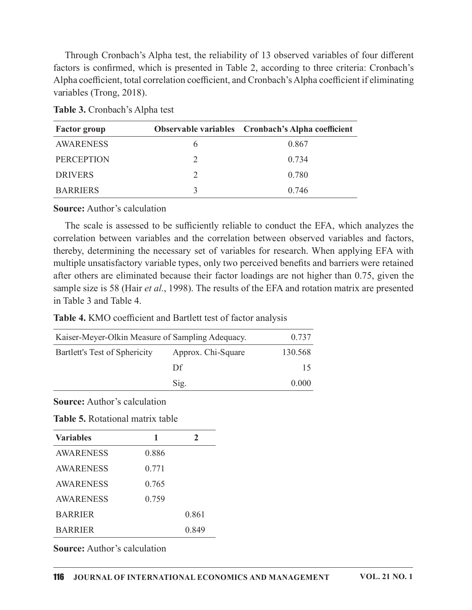Through Cronbach's Alpha test, the reliability of 13 observed variables of four different factors is confirmed, which is presented in Table 2, according to three criteria: Cronbach's Alpha coefficient, total correlation coefficient, and Cronbach's Alpha coefficient if eliminating variables (Trong, 2018).

|  | <b>Table 3.</b> Cronbach's Alpha test |  |
|--|---------------------------------------|--|
|--|---------------------------------------|--|

| <b>Factor</b> group | <b>Observable variables</b> Cronbach's Alpha coefficient |
|---------------------|----------------------------------------------------------|
| <b>AWARENESS</b>    | 0.867                                                    |
| <b>PERCEPTION</b>   | 0.734                                                    |
| <b>DRIVERS</b>      | 0.780                                                    |
| <b>BARRIERS</b>     | 0.746                                                    |

**Source:** Author's calculation

The scale is assessed to be sufficiently reliable to conduct the EFA, which analyzes the correlation between variables and the correlation between observed variables and factors, thereby, determining the necessary set of variables for research. When applying EFA with multiple unsatisfactory variable types, only two perceived benefits and barriers were retained after others are eliminated because their factor loadings are not higher than 0.75, given the sample size is 58 (Hair et al., 1998). The results of the EFA and rotation matrix are presented in Table 3 and Table 4.

Table 4. KMO coefficient and Bartlett test of factor analysis

| Kaiser-Meyer-Olkin Measure of Sampling Adequacy. |                    | 0.737   |
|--------------------------------------------------|--------------------|---------|
| Bartlett's Test of Sphericity                    | Approx. Chi-Square | 130.568 |
|                                                  | Df                 | 15      |
|                                                  | Sig.               | 0.000   |

**Source:** Author's calculation

|  | <b>Table 5.</b> Rotational matrix table |  |
|--|-----------------------------------------|--|
|  |                                         |  |

| <b>Variables</b> | 1     | 2     |
|------------------|-------|-------|
| <b>AWARENESS</b> | 0.886 |       |
| <b>AWARENESS</b> | 0.771 |       |
| <b>AWARENESS</b> | 0.765 |       |
| <b>AWARENESS</b> | 0.759 |       |
| <b>BARRIER</b>   |       | 0.861 |
| <b>BARRIER</b>   |       | 0.849 |

**Source:** Author's calculation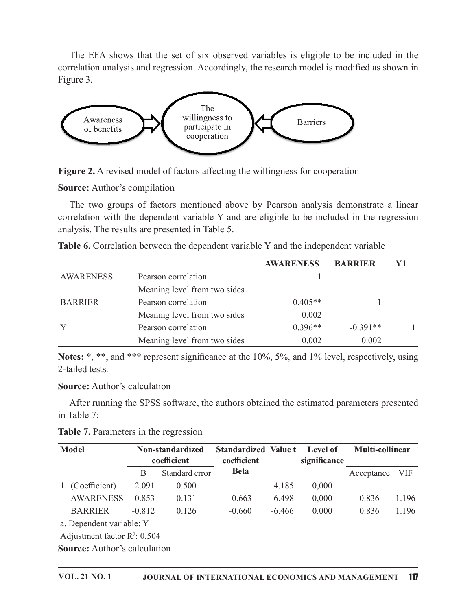The EFA shows that the set of six observed variables is eligible to be included in the relation analysis and regression. Accordingly, the research model is modified as shown in ture 3. correlation analysis and regression. Accordingly, the research model is modified as shown in Figure 3.



| Awareness<br>of benefits                                                                                                                                                                                                                                                                                                   |       | The<br>willingness to<br>participate in<br>cooperation |                                            |                  | <b>Barriers</b>          |                 |            |
|----------------------------------------------------------------------------------------------------------------------------------------------------------------------------------------------------------------------------------------------------------------------------------------------------------------------------|-------|--------------------------------------------------------|--------------------------------------------|------------------|--------------------------|-----------------|------------|
| Figure 2. A revised model of factors affecting the willingness for cooperation                                                                                                                                                                                                                                             |       |                                                        |                                            |                  |                          |                 |            |
| <b>Source:</b> Author's compilation                                                                                                                                                                                                                                                                                        |       |                                                        |                                            |                  |                          |                 |            |
| The two groups of factors mentioned above by Pearson analysis demonstrate a linear<br>correlation with the dependent variable Y and are eligible to be included in the regression<br>analysis. The results are presented in Table 5.<br>Table 6. Correlation between the dependent variable Y and the independent variable |       |                                                        |                                            |                  |                          |                 |            |
|                                                                                                                                                                                                                                                                                                                            |       |                                                        |                                            | <b>AWARENESS</b> |                          | <b>BARRIER</b>  | Y1         |
| <b>AWARENESS</b>                                                                                                                                                                                                                                                                                                           |       | Pearson correlation                                    |                                            |                  |                          |                 |            |
|                                                                                                                                                                                                                                                                                                                            |       | Meaning level from two sides                           |                                            |                  |                          |                 |            |
| <b>BARRIER</b>                                                                                                                                                                                                                                                                                                             |       | Pearson correlation                                    |                                            |                  | $0.405**$                |                 |            |
|                                                                                                                                                                                                                                                                                                                            |       | Meaning level from two sides                           |                                            |                  | 0.002                    |                 |            |
| Y                                                                                                                                                                                                                                                                                                                          |       | Pearson correlation                                    |                                            |                  | $0.396**$                | $-0.391**$      |            |
|                                                                                                                                                                                                                                                                                                                            |       | Meaning level from two sides                           |                                            |                  | 0.002                    | 0.002           |            |
| Notes: *, **, and *** represent significance at the 10%, 5%, and 1% level, respectively, using<br>2-tailed tests.                                                                                                                                                                                                          |       |                                                        |                                            |                  |                          |                 |            |
| <b>Source:</b> Author's calculation                                                                                                                                                                                                                                                                                        |       |                                                        |                                            |                  |                          |                 |            |
| After running the SPSS software, the authors obtained the estimated parameters presented<br>in Table 7:                                                                                                                                                                                                                    |       |                                                        |                                            |                  |                          |                 |            |
| Table 7. Parameters in the regression                                                                                                                                                                                                                                                                                      |       |                                                        |                                            |                  |                          |                 |            |
| <b>Model</b>                                                                                                                                                                                                                                                                                                               |       | Non-standardized<br>coefficient                        | <b>Standardized Value t</b><br>coefficient |                  | Level of<br>significance | Multi-collinear |            |
|                                                                                                                                                                                                                                                                                                                            | B     | Standard error                                         | <b>Beta</b>                                |                  |                          | Acceptance      | <b>VIF</b> |
| 1 (Coefficient)                                                                                                                                                                                                                                                                                                            | 2.091 | 0.500                                                  |                                            | 4.185            | 0,000                    |                 |            |
| <b>AWARENESS</b>                                                                                                                                                                                                                                                                                                           | 0.853 | 0.131                                                  | 0.663                                      | 6.498            | 0,000                    | 0.836           | 1.196      |
| <b>RARRIER</b>                                                                                                                                                                                                                                                                                                             | 0.812 | 0.126                                                  | .ስ 660                                     | 6,166            | 0.000                    | 0.836           | 1 1 9 6    |

| <b>Table 7.</b> Parameters in the regression |  |  |  |
|----------------------------------------------|--|--|--|
|                                              |  |  |  |
|                                              |  |  |  |

| <b>BARRIER</b><br>Y                                                                                               |          | Pearson correlation             |                                            |          | $0.405**$                |                 |            |
|-------------------------------------------------------------------------------------------------------------------|----------|---------------------------------|--------------------------------------------|----------|--------------------------|-----------------|------------|
|                                                                                                                   |          |                                 |                                            |          |                          |                 |            |
|                                                                                                                   |          |                                 | Meaning level from two sides               |          | 0.002                    |                 |            |
|                                                                                                                   |          | Pearson correlation             |                                            |          | $0.396**$                | $-0.391**$      |            |
|                                                                                                                   |          | Meaning level from two sides    |                                            |          | 0.002                    | 0.002           |            |
| Notes: *, **, and *** represent significance at the 10%, 5%, and 1% level, respectively, using<br>2-tailed tests. |          |                                 |                                            |          |                          |                 |            |
| <b>Source:</b> Author's calculation                                                                               |          |                                 |                                            |          |                          |                 |            |
| After running the SPSS software, the authors obtained the estimated parameters presented<br>in Table 7:           |          |                                 |                                            |          |                          |                 |            |
| <b>Table 7.</b> Parameters in the regression                                                                      |          |                                 |                                            |          |                          |                 |            |
| <b>Model</b>                                                                                                      |          | Non-standardized<br>coefficient | <b>Standardized Value t</b><br>coefficient |          | Level of<br>significance | Multi-collinear |            |
|                                                                                                                   | B        | Standard error                  | <b>Beta</b>                                |          |                          | Acceptance      | <b>VIF</b> |
| (Coefficient)                                                                                                     | 2.091    | 0.500                           |                                            | 4.185    | 0,000                    |                 |            |
| <b>AWARENESS</b>                                                                                                  | 0.853    | 0.131                           | 0.663                                      | 6.498    | 0,000                    | 0.836           | 1.196      |
| <b>BARRIER</b>                                                                                                    | $-0.812$ | 0.126                           | $-0.660$                                   | $-6.466$ | 0.000                    | 0.836           | 1.196      |
| a. Dependent variable: Y                                                                                          |          |                                 |                                            |          |                          |                 |            |
|                                                                                                                   |          |                                 |                                            |          |                          |                 |            |
| Adjustment factor $R^2$ : 0.504                                                                                   |          |                                 |                                            |          |                          |                 |            |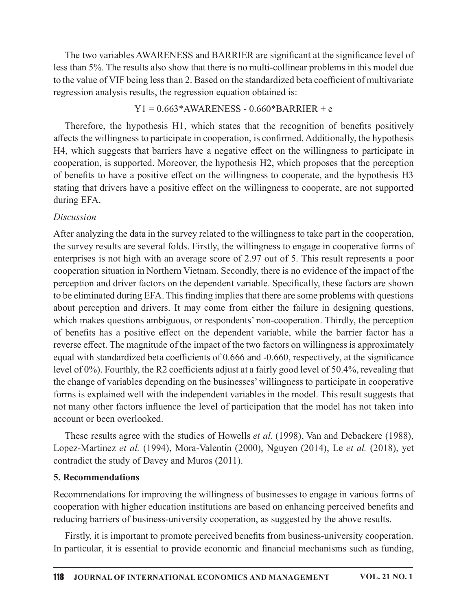The two variables AWARENESS and BARRIER are significant at the significance level of less than 5%. The results also show that there is no multi-collinear problems in this model due to the value of VIF being less than 2. Based on the standardized beta coefficient of multivariate regression analysis results, the regression equation obtained is:

### $Y1 = 0.663*AWARENESS - 0.660*BARRIER + e$

Therefore, the hypothesis H1, which states that the recognition of benefits positively affects the willingness to participate in cooperation, is confirmed. Additionally, the hypothesis H4, which suggests that barriers have a negative effect on the willingness to participate in cooperation, is supported. Moreover, the hypothesis H2, which proposes that the perception of benefits to have a positive effect on the willingness to cooperate, and the hypothesis H3 stating that drivers have a positive effect on the willingness to cooperate, are not supported during EFA.

### Discussion

After analyzing the data in the survey related to the willingness to take part in the cooperation, the survey results are several folds. Firstly, the willingness to engage in cooperative forms of enterprises is not high with an average score of 2.97 out of 5. This result represents a poor cooperation situation in Northern Vietnam. Secondly, there is no evidence of the impact of the perception and driver factors on the dependent variable. Specifically, these factors are shown to be eliminated during EFA. This finding implies that there are some problems with questions about perception and drivers. It may come from either the failure in designing questions, which makes questions ambiguous, or respondents' non-cooperation. Thirdly, the perception of benefits has a positive effect on the dependent variable, while the barrier factor has a reverse effect. The magnitude of the impact of the two factors on willingness is approximately equal with standardized beta coefficients of  $0.666$  and  $-0.660$ , respectively, at the significance level of  $0\%$ ). Fourthly, the R2 coefficients adjust at a fairly good level of 50.4%, revealing that the change of variables depending on the businesses' willingness to participate in cooperative forms is explained well with the independent variables in the model. This result suggests that not many other factors influence the level of participation that the model has not taken into account or been overlooked.

These results agree with the studies of Howells *et al.* (1998), Van and Debackere (1988), Lopez-Martinez et al. (1994), Mora-Valentin (2000), Nguyen (2014), Le et al. (2018), yet contradict the study of Davey and Muros  $(2011)$ .

### 5. Recommendations

Recommendations for improving the willingness of businesses to engage in various forms of cooperation with higher education institutions are based on enhancing perceived benefits and reducing barriers of business-university cooperation, as suggested by the above results.

Firstly, it is important to promote perceived benefits from business-university cooperation. In particular, it is essential to provide economic and financial mechanisms such as funding,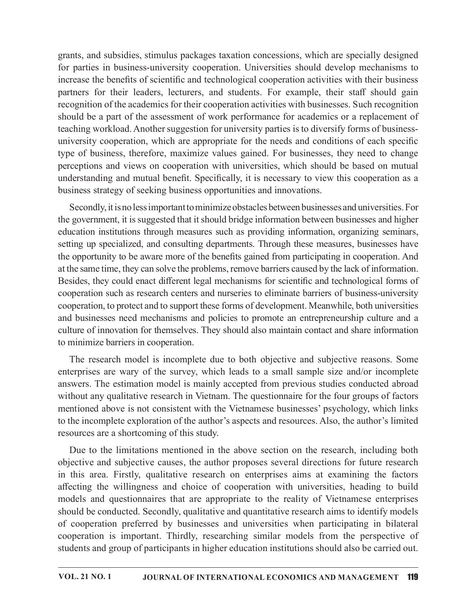grants, and subsidies, stimulus packages taxation concessions, which are specially designed grants, and subsidies, stimulus packages taxation concessions, which are specially designed<br>for parties in business-university cooperation. Universities should develop mechanisms to<br>increase the benefits of scientific and increase the benefits of scientific and technological cooperation activities with their business partners for their leaders, lecturers, and students. For example, their staff should gain recognition of the academics for their cooperation activities with businesses. Such recognition should be a part of the assessment of work performance for academics or a replacement of teaching workload. Another suggestion for university parties is to diversify forms of businessuniversity cooperation, which are appropriate for the needs and conditions of each specific type of business, therefore, maximize values gained. For businesses, they need to change perceptions and views on cooperation with universities, which should be based on mutual understanding and mutual benefit. Specifically, it is necessary to view this cooperation as a business strategy of seeking business opportunities and innovations.

Secondly, it is no less important to minimize obstacles between businesses and universities. For the government, it issuggested that it should bridge information between businesses and higher education institutions through measures such as providing information, organizing seminars, setting up specialized, and consulting departments. Through these measures, businesses have the opportunity to be aware more of the benefits gained from participating in cooperation. And at the same time, they can solve the problems, remove barriers caused by the lack of information. Besides, they could enact different legal mechanisms for scientific and technological forms of cooperation such as research centers and nurseries to eliminate barriers of business-university cooperation, to protect and to support these forms of development. Meanwhile, both universities teaching workload. Another suggestion for university parties is to diversity forms of businesseming cooperation, which are appropriate for the needs and conditions of each specific type of business, therefore, maximize val culture of innovation for themselves. They should also maintain contact and share information to minimize barriers in cooperation. 7KH UHVHDUFK PRGHOLV LQFRPSOHWH GXH WR ERWK REMHFWLYH DQGVXEMHFWLYH UHDVRQV 6RPH

enterprises are wary of the survey, which leads to a small sample size and/or incomplete answers. The estimation model is mainly accepted from previous studies conducted abroad without any qualitative research in Vietnam. The questionnaire for the four groups of factors mentioned above is not consistent with the Vietnamese businesses' psychology, which links to the incomplete exploration of the author's aspects and resources. Also, the author's limited resources are a shortcoming of this study.

Due to the limitations mentioned in the above section on the research, including both objective and subjective causes, the author proposes several directions for future research in this area. Firstly, qualitative research on enterprises aims at examining the factors affecting the willingness and choice of cooperation with universities, heading to build coparation, in process that the steeper that the steeper that the computer. A reach that there are the research model is morphize barries in cooperation. The research model is incomplete due to both objective and solvice v should be conducted. Secondly, qualitative and quantitative research aims to identify models From the material of the sumption of the sumption. The research model is incomplete due to both objective and subjective reasons. Some enterprises are wary of the survey, which leads to a small sample size and/or incomplet cooperation is important. Thirdly, researching similar models from the perspective of students and group of participants in higher education institutions should also be carried out.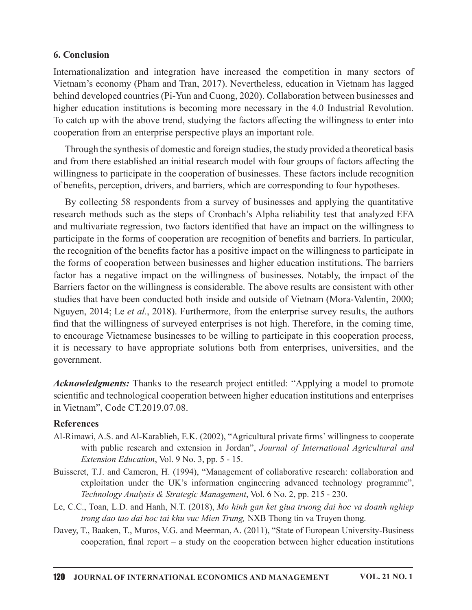#### 6. Conclusion

6. Conclusion<br>Internationalization and integration have increased the competition in many sectors of<br>Vietnam's economy (Pham and Tran, 2017). Nevertheless, education in Vietnam has lagged<br>behind developed countries (Pi-Yun Vietnam's economy (Pham and Tran, 2017). Nevertheless, education in Vietnam has lagged behind developed countries (Pi-Yun and Cuong, 2020). Collaboration between businesses and higher education institutions is becoming more necessary in the 4.0 Industrial Revolution. To catch up with the above trend, studying the factors affecting the willingness to enter into cooperation from an enterprise perspective plays an important role.

Through the synthesis of domestic and foreign studies, the study provided a theoretical basis and from there established an initial research model with four groups of factors affecting the willingness to participate in the cooperation of businesses. These factors include recognition of benefits, perception, drivers, and barriers, which are corresponding to four hypotheses.

By collecting 58 respondents from a survey of businesses and applying the quantitative research methods such as the steps of Cronbach's Alpha reliability test that analyzed EFA and multivariate regression, two factors identified that have an impact on the willingness to participate in the forms of cooperation are recognition of benefits and barriers. In particular, the recognition of the benefits factor has a positive impact on the willingness to participate in the forms of cooperation between businesses and higher education institutions. The barriers factor has a negative impact on the willingness of businesses. Notably, the impact of the Barriers factor on the willingness is considerable. The above results are consistent with other studies that have been conducted both inside and outside of Vietnam (Mora-Valentin, 2000; Nguyen, 2014; Le et al., 2018). Furthermore, from the enterprise survey results, the authors find that the willingness of surveyed enterprises is not high. Therefore, in the coming time, to encourage Vietnamese businesses to be willing to participate in this cooperation process, it is necessary to have appropriate solutions both from enterprises, universities, and the government. ms of cooperation between businesses and higher education institutions. The barriers<br>has a negative impact on the willingness of businesses. Notably, the impact of the<br>s factor on the willingness is considerable. The abov

Acknowledgments: Thanks to the research project entitled: "Applying a model to promote scientific and technological cooperation between higher education institutions and enterprises in Vietnam", Code CT.2019.07.08.

#### References

- Al-Rimawi, A.S. and Al-Karablieh, E.K. (2002), "Agricultural private firms' willingness to cooperate Extension Education, Vol. 9 No. 3, pp. 5 - 15.
- Buisseret, T.J. and Cameron, H. (1994), "Management of collaborative research: collaboration and exploitation under the UK's information engineering advanced technology programme", Technology Analysis & Strategic Management, Vol. 6 No. 2, pp. 215 - 230.
- Le, C.C., Toan, L.D. and Hanh, N.T. (2018), Mo hinh gan ket giua truong dai hoc va doanh nghiep trong dao tao dai hoc tai khu vuc Mien Trung, NXB Thong tin va Truyen thong.
- Davey, T., Baaken, T., Muros, V.G. and Meerman, A. (2011), "State of European University-Business cooperation, final report – a study on the cooperation between higher education institutions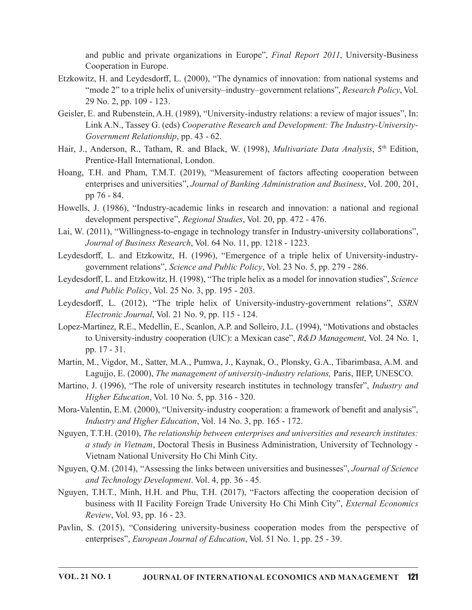Cooperation in Europe.

- and public and private organizations in Europe", *Final Report 2011*, University-Business<br>Cooperation in Europe.<br>itz, H. and Leydesdorff, L. (2000), "The dynamics of innovation: from national systems and<br>"mode 2" to a trip Etzkowitz, H. and Leydesdorff, L. (2000), "The dynamics of innovation: from national systems and "mode 2" to a triple helix of university–industry–government relations", Research Policy, Vol. 29 No. 2, pp. 109 - 123. and public and private organizations in Europe", *Final Report 2011*, University-Business<br>
Cooperation in Europe.<br>
Etzkowtz, H. and Leydesdorff, L. (2000), "The dynamics of innovation: from national systems and<br>
"mode 2"
- Geisler, E. and Rubenstein, A.H. (1989), "University-industry relations: a review of major issues", In: Link A.N., Tassey G. (eds) Cooperative Research and Development: The Industry-University-Government Relationship, pp. 43 - 62.
- Hair, J., Anderson, R., Tatham, R. and Black, W. (1998), *Multivariate Data Analysis*, 5<sup>th</sup> Edition, Prentice-Hall International, London.
- Hoang, T.H. and Pham, T.M.T. (2019), "Measurement of factors affecting cooperation between enterprises and universities", Journal of Banking Administration and Business, Vol. 200, 201, pp 76 - 84.
- Howells, J. (1986), "Industry-academic links in research and innovation: a national and regional development perspective", Regional Studies, Vol. 20, pp. 472 - 476.
- Lai, W. (2011), "Willingness-to-engage in technology transfer in Industry-university collaborations", Journal of Business Research, Vol. 64 No. 11, pp. 1218 - 1223.
- Leydesdorff, L. and Etzkowitz, H. (1996), "Emergence of a triple helix of University-industrygovernment relations", Science and Public Policy, Vol. 23 No. 5, pp. 279 - 286.
- Leydesdorff, L. and Etzkowitz, H. (1998), "The triple helix as a model for innovation studies", Science and Public Policy, Vol. 25 No. 3, pp.  $195 - 203$ .
- Leydesdorff, L. (2012), "The triple helix of University-industry-government relations", SSRN  $Electronic\ Journal, Vol. 21 No. 9, pp. 115 - 124.$
- Lopez-Martinez, R.E., Medellin, E., Scanlon, A.P. and Solleiro, J.L. (1994), "Motivations and obstacles to University-industry cooperation (UIC): a Mexican case", R&D Management, Vol. 24 No. 1, pp. 17 - 31.
- Martin, M., Vigdor, M., Satter, M.A., Pumwa, J., Kaynak, O., Plonsky, G.A., Tibarimbasa, A.M. and Lagujjo, E. (2000), The management of university-industry relations, Paris, IIEP, UNESCO.
- Martino, J. (1996), "The role of university research institutes in technology transfer", *Industry and*  $Higher Education$ , Vol. 10 No. 5, pp. 316 - 320.
- Mora-Valentin, E.M. (2000), "University-industry cooperation: a framework of benefit and analysis", Industry and Higher Education, Vol. 14 No. 3, pp. 165 - 172.
- Nguyen, T.T.H. (2010), The relationship between enterprises and universities and research institutes: a study in Vietnam, Doctoral Thesis in Business Administration, University of Technology -Vietnam National University Ho Chi Minh City.
- Nguyen, Q.M. (2014), "Assessing the links between universities and businesses", Journal of Science and Technology Development. Vol. 4, pp.  $36 - 45$ .
- Nguyen, T.H.T., Minh, H.H. and Phu, T.H. (2017), "Factors a൵ecting the cooperation decision of business with II Facility Foreign Trade University Ho Chi Minh City", External Economics Review, Vol. 93, pp. 16 - 23.
- Pavlin, S. (2015), "Considering university-business cooperation modes from the perspective of enterprises", *European Journal of Education*, Vol. 51 No. 1, pp. 25 - 39.